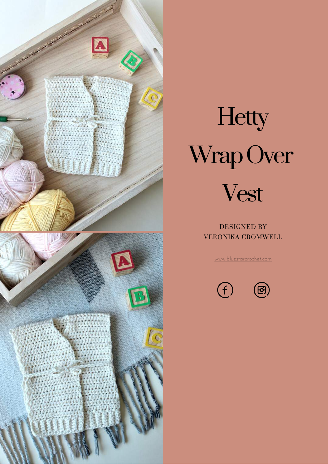

# **Hetty** Wrap Over



DESIGNED BY VERONIKA CROMWELL

[www.bluestarcrochet.com](http://www.bluestarcrochet.com/)



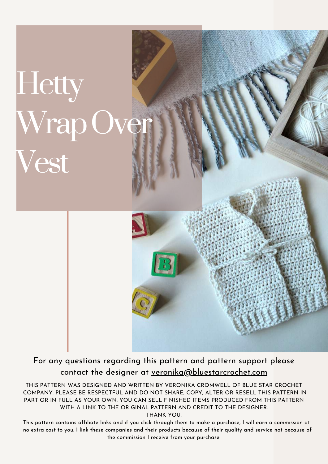# Hetty Wrap Ove Vest



For any questions regarding this pattern and pattern support please contact the designer at [veronika@bluestarcrochet.com](mailto:veronika@bluestarcrochet.com)

THIS PATTERN WAS DESIGNED AND WRITTEN BY VERONIKA CROMWELL OF BLUE STAR CROCHET COMPANY. PLEASE BE RESPECTFUL AND DO NOT SHARE, COPY, ALTER OR RESELL THIS PATTERN IN PART OR IN FULL AS YOUR OWN. YOU CAN SELL FINISHED ITEMS PRODUCED FROM THIS PATTERN WITH A LINK TO THE ORIGINAL PATTERN AND CREDIT TO THE DESIGNER. THANK YOU.

This pattern contains affiliate links and if you click through them to make a purchase, I will earn a commission at no extra cost to you. I link these companies and their products because of their quality and service not because of the commission I receive from your purchase.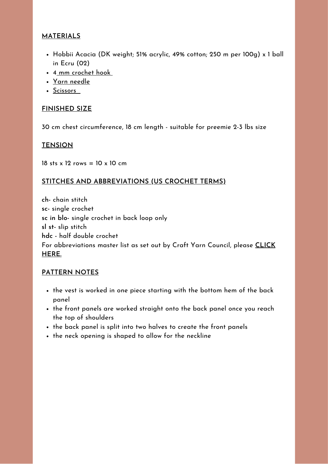#### **MATERIALS**

- Hobbii Acacia (DK weight; 51% acrylic, 49% cotton; 250 m per 100g) x 1 ball in Ecru (02)
- 4 mm [crochet](https://shrsl.com/3i6cp) hook
- Yarn [needle](https://shrsl.com/37lcc)
- [Scissors](https://shrsl.com/37lce)

### **FINISHED SIZE**

30 cm chest circumference, 18 cm length - suitable for preemie 2-3 lbs size

### **TENSION**

 $18$  sts x 12 rows =  $10 \times 10$  cm

# **STITCHES AND ABBREVIATIONS (US CROCHET TERMS)**

**ch-** chain stitch **sc-** single crochet **sc in blo-** single crochet in back loop only **sl st-** slip stitch **hdc -** half double crochet For abbreviations master list as set out by Craft Yarn Council, please **[CLICK](https://www.craftyarncouncil.com/standards/crochet-abbreviations) [HERE.](https://www.craftyarncouncil.com/standards/crochet-abbreviations)**

### **PATTERN NOTES**

- the vest is worked in one piece starting with the bottom hem of the back panel
- the front panels are worked straight onto the back panel once you reach the top of shoulders
- the back panel is split into two halves to create the front panels
- the neck opening is shaped to allow for the neckline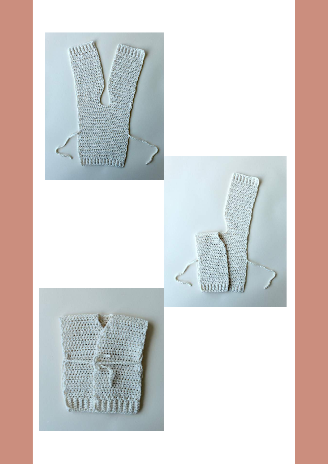



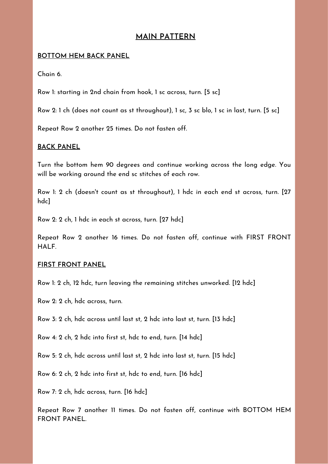# **MAIN PATTERN**

#### **BOTTOM HEM BACK PANEL**

Chain 6.

Row 1: starting in 2nd chain from hook, 1 sc across, turn. [5 sc]

Row 2: 1 ch (does not count as st throughout), 1 sc, 3 sc blo, 1 sc in last, turn. [5 sc]

Repeat Row 2 another 25 times. Do not fasten off.

#### **BACK PANEL**

Turn the bottom hem 90 degrees and continue working across the long edge. You will be working around the end sc stitches of each row.

Row 1: 2 ch (doesn't count as st throughout), 1 hdc in each end st across, turn. [27 hdc]

Row 2: 2 ch, 1 hdc in each st across, turn. [27 hdc]

Repeat Row 2 another 16 times. Do not fasten off, continue with FIRST FRONT HALF.

#### **FIRST FRONT PANEL**

Row 1: 2 ch, 12 hdc, turn leaving the remaining stitches unworked. [12 hdc]

Row 2: 2 ch, hdc across, turn.

Row 3: 2 ch, hdc across until last st, 2 hdc into last st, turn. [13 hdc]

Row 4: 2 ch, 2 hdc into first st, hdc to end, turn. [14 hdc]

Row 5: 2 ch, hdc across until last st, 2 hdc into last st, turn. [15 hdc]

Row 6: 2 ch, 2 hdc into first st, hdc to end, turn. [16 hdc]

Row 7: 2 ch, hdc across, turn. [16 hdc]

Repeat Row 7 another 11 times. Do not fasten off, continue with BOTTOM HEM FRONT PANEL.